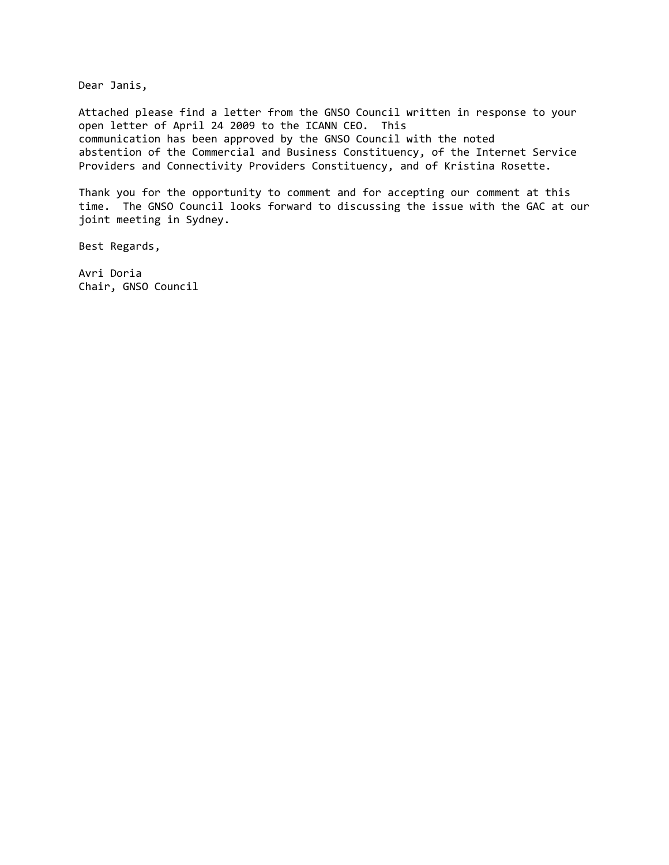Dear Janis,

Attached please find a letter from the GNSO Council written in response to your open letter of April 24 2009 to the ICANN CEO. This communication has been approved by the GNSO Council with the noted abstention of the Commercial and Business Constituency, of the Internet Service Providers and Connectivity Providers Constituency, and of Kristina Rosette.

Thank you for the opportunity to comment and for accepting our comment at this time. The GNSO Council looks forward to discussing the issue with the GAC at our joint meeting in Sydney.

Best Regards,

Avri Doria Chair, GNSO Council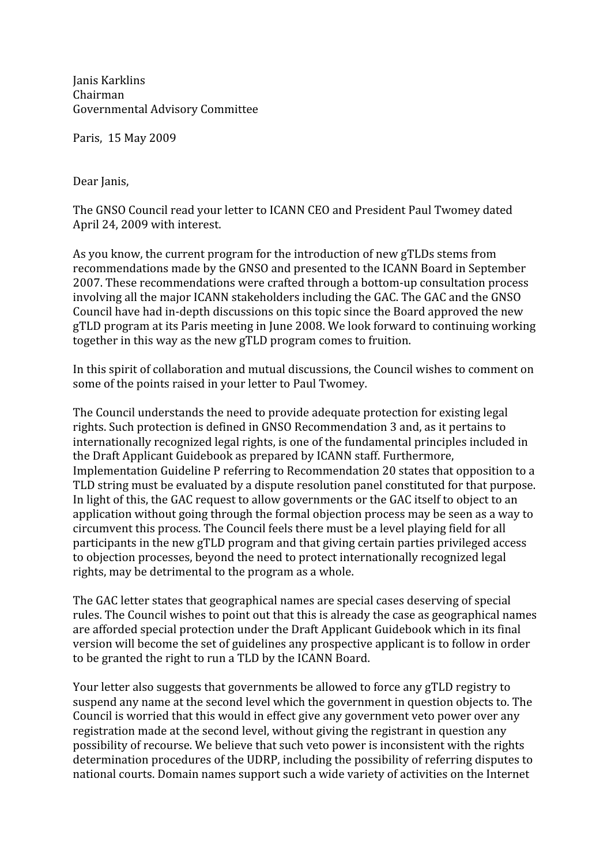Janis
Karklins Chairman Governmental
Advisory
Committee

Paris, 15
May
2009

Dear
Janis,

The GNSO Council read vour letter to ICANN CEO and President Paul Twomey dated April
24,
2009 with
interest.

As you know, the current program for the introduction of new gTLDs stems from recommendations
made
by
the
GNSO
and
presented
to
the
ICANN
Board
in
September 2007.
These
recommendations
were
crafted
through
a
bottom‐up
consultation
process involving all the major ICANN stakeholders including the GAC. The GAC and the GNSO Council
have
had
in‐depth
discussions
on
this
topic
since
the
Board
approved
the
new gTLD
program
at
its
Paris
meeting
in
June
2008.
We
look
forward
to
continuing
working together
in
this
way
as
the
new
gTLD
program
comes
to
fruition.

In this spirit of collaboration and mutual discussions, the Council wishes to comment on some of the points raised in your letter to Paul Twomey.

The
Council
understands
the
need
to
provide
adequate
protection
for
existing
legal rights.
Such
protection
is
defined
in
GNSO
Recommendation
3
and,
as
it
pertains
to internationally
recognized
legal
rights,
is
one
of
the
fundamental
principles
included
in the
Draft
Applicant
Guidebook
as
prepared
by
ICANN
staff.
Furthermore, Implementation
Guideline
P
referring
to
Recommendation
20
states
that
opposition
to
a TLD string must be evaluated by a dispute resolution panel constituted for that purpose. In light of this, the GAC request to allow governments or the GAC itself to object to an application without going through the formal objection process may be seen as a way to circumvent
this
process.
The
Council
feels
there
must
be
a
level
playing
field
for
all participants
in
the
new
gTLD
program
and
that
giving
certain
parties
privileged
access to
objection
processes,
beyond
the
need
to
protect
internationally
recognized
legal rights,
may
be
detrimental
to
the
program
as
a
whole.

The GAC letter states that geographical names are special cases deserving of special rules. The Council wishes to point out that this is already the case as geographical names are
afforded
special
protection
under
the
Draft
Applicant
Guidebook
which
in
its
final version will become the set of guidelines any prospective applicant is to follow in order to be granted the right to run a TLD by the ICANN Board.

Your letter also suggests that governments be allowed to force any gTLD registry to suspend
any
name
at
the
second
level
which
the
government
in
question
objects
to.
The Council is worried that this would in effect give any government veto power over any registration made at the second level, without giving the registrant in question any possibility
of
recourse.
We
believe
that
such
veto
power
is
inconsistent
with
the
rights determination procedures of the UDRP, including the possibility of referring disputes to national courts. Domain names support such a wide variety of activities on the Internet